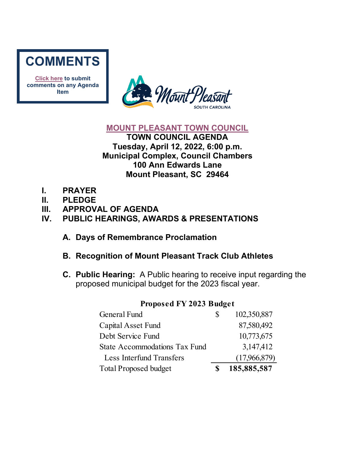

**[Click here](mailto:councilclk@tompsc.com) to submit comments on any Agenda Item**



#### **[MOUNT PLEASANT TOWN COUNCIL](http://www.tompsc.com/index.aspx?NID=91)**

**TOWN COUNCIL AGENDA Tuesday, April 12, 2022, 6:00 p.m. Municipal Complex, Council Chambers 100 Ann Edwards Lane Mount Pleasant, SC 29464**

- **I. PRAYER**
- **II. PLEDGE**
- **III. APPROVAL OF AGENDA**

# **IV. PUBLIC HEARINGS, AWARDS & PRESENTATIONS**

- **A. Days of Remembrance Proclamation**
- **B. Recognition of Mount Pleasant Track Club Athletes**
- **C. Public Hearing:** A Public hearing to receive input regarding the proposed municipal budget for the 2023 fiscal year.

| General Fund                         | S | 102,350,887  |
|--------------------------------------|---|--------------|
| Capital Asset Fund                   |   | 87,580,492   |
| Debt Service Fund                    |   | 10,773,675   |
| <b>State Accommodations Tax Fund</b> |   | 3,147,412    |
| Less Interfund Transfers             |   | (17,966,879) |
| <b>Total Proposed budget</b>         |   | 185,885,587  |

#### **Proposed FY 2023 Budget**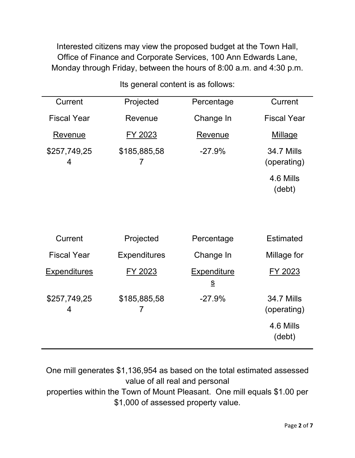Interested citizens may view the proposed budget at the Town Hall, Office of Finance and Corporate Services, 100 Ann Edwards Lane, Monday through Friday, between the hours of 8:00 a.m. and 4:30 p.m.

| Projected           | Percentage                                                 | <b>Current</b>                   |
|---------------------|------------------------------------------------------------|----------------------------------|
| Revenue             | Change In                                                  | <b>Fiscal Year</b>               |
| FY 2023             | Revenue                                                    | <b>Millage</b>                   |
| \$185,885,58<br>7   | $-27.9%$                                                   | <b>34.7 Mills</b><br>(operating) |
|                     |                                                            | 4.6 Mills<br>(debt)              |
|                     |                                                            |                                  |
|                     |                                                            |                                  |
| Projected           | Percentage                                                 | <b>Estimated</b>                 |
| <b>Expenditures</b> | Change In                                                  | Millage for                      |
| FY 2023             | <b>Expenditure</b><br>$\underline{\underline{\mathsf{S}}}$ | FY 2023                          |
| \$185,885,58<br>7   | $-27.9%$                                                   | <b>34.7 Mills</b><br>(operating) |
|                     |                                                            | 4.6 Mills<br>(debt)              |
|                     |                                                            |                                  |

Its general content is as follows:

One mill generates \$1,136,954 as based on the total estimated assessed value of all real and personal

properties within the Town of Mount Pleasant. One mill equals \$1.00 per \$1,000 of assessed property value.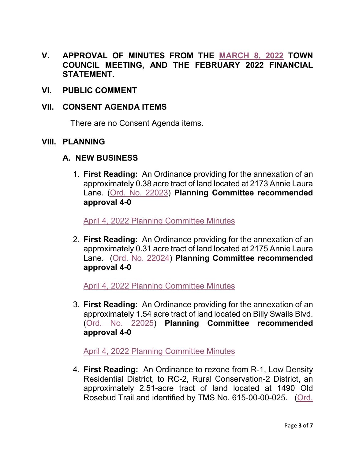- **V. APPROVAL OF MINUTES FROM THE [MARCH 8, 2022](https://www.tompsc.com/AgendaCenter/ViewFile/Minutes/_03082022-1167) TOWN COUNCIL MEETING, AND THE FEBRUARY 2022 FINANCIAL STATEMENT.**
- **VI. PUBLIC COMMENT**

#### **VII. CONSENT AGENDA ITEMS**

There are no Consent Agenda items.

**VIII. PLANNING** 

#### **A. NEW BUSINESS**

1. **First Reading:** An Ordinance providing for the annexation of an approximately 0.38 acre tract of land located at 2173 Annie Laura Lane. [\(Ord. No.](https://www.tompsc.com/DocumentCenter/View/41249/Ord-No-22023) 22023) **Planning Committee recommended approval 4-0** 

[April 4, 2022 Planning Committee Minutes](https://www.tompsc.com/AgendaCenter/ViewFile/Minutes/_04042022-1187)

2. **First Reading:** An Ordinance providing for the annexation of an approximately 0.31 acre tract of land located at 2175 Annie Laura Lane. [\(Ord. No. 22024\)](https://www.tompsc.com/DocumentCenter/View/41250/Ord-No-22024) **Planning Committee recommended approval 4-0** 

[April 4, 2022 Planning Committee Minutes](https://www.tompsc.com/AgendaCenter/ViewFile/Minutes/_04042022-1187)

3. **First Reading:** An Ordinance providing for the annexation of an approximately 1.54 acre tract of land located on Billy Swails Blvd. [\(Ord. No. 22025\)](https://www.tompsc.com/DocumentCenter/View/41251/Ord-No-22025) **Planning Committee recommended approval 4-0**

[April 4, 2022 Planning Committee Minutes](https://www.tompsc.com/AgendaCenter/ViewFile/Minutes/_04042022-1187)

4. **First Reading:** An Ordinance to rezone from R-1, Low Density Residential District, to RC-2, Rural Conservation-2 District, an approximately 2.51-acre tract of land located at 1490 Old Rosebud Trail and identified by TMS No. 615-00-00-025. [\(Ord.](https://www.tompsc.com/DocumentCenter/View/41252/Ord-No-22026)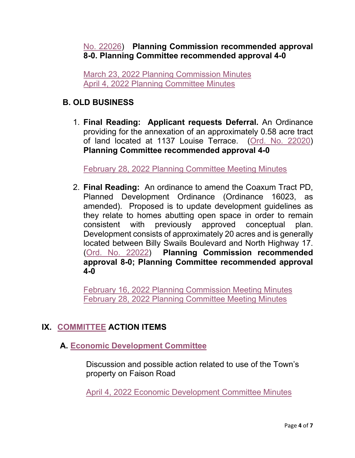## No. [22026\)](https://www.tompsc.com/DocumentCenter/View/41252/Ord-No-22026) **Planning Commission recommended approval 8-0. Planning Committee recommended approval 4-0**

[March 23, 2022 Planning Commission Minutes](https://www.tompsc.com/AgendaCenter/ViewFile/Minutes/_03232022-1171) [April 4, 2022 Planning Committee Minutes](https://www.tompsc.com/AgendaCenter/ViewFile/Minutes/_04042022-1187)

## **B. OLD BUSINESS**

1. **Final Reading: Applicant requests Deferral.** An Ordinance providing for the annexation of an approximately 0.58 acre tract of land located at 1137 Louise Terrace. [\(Ord. No. 22020\)](https://www.tompsc.com/DocumentCenter/View/40831/Ord-No-22020) **Planning Committee recommended approval 4-0**

[February 28, 2022 Planning Committee Meeting Minutes](https://gcc02.safelinks.protection.outlook.com/?url=https%3A%2F%2Fwww.tompsc.com%2FAgendaCenter%2FViewFile%2FMinutes%2F_02282022-1162&data=04%7C01%7CCBarrett%40tompsc.com%7C5d4ae3f93072458c6ed708d9fd5a24e4%7C1625c41990b6460eafc73f4628c3f25d%7C0%7C0%7C637819385875051425%7CUnknown%7CTWFpbGZsb3d8eyJWIjoiMC4wLjAwMDAiLCJQIjoiV2luMzIiLCJBTiI6Ik1haWwiLCJXVCI6Mn0%3D%7C3000&sdata=axfyqsRvs5plDOrftfRaKYo0lN5W15YxnnDFpN6pg%2F8%3D&reserved=0)

2. **Final Reading:** An ordinance to amend the Coaxum Tract PD, Planned Development Ordinance (Ordinance 16023, as amended). Proposed is to update development guidelines as they relate to homes abutting open space in order to remain consistent with previously approved conceptual plan. Development consists of approximately 20 acres and is generally located between Billy Swails Boulevard and North Highway 17. [\(Ord. No. 22022\)](https://www.tompsc.com/DocumentCenter/View/40830/Ord-No-22022) **Planning Commission recommended approval 8-0; Planning Committee recommended approval 4-0**

[February 16, 2022 Planning Commission Meeting Minutes](https://www.tompsc.com/AgendaCenter/ViewFile/Minutes/_02162022-1144) [February 28, 2022 Planning Committee Meeting Minutes](https://gcc02.safelinks.protection.outlook.com/?url=https%3A%2F%2Fwww.tompsc.com%2FAgendaCenter%2FViewFile%2FMinutes%2F_02282022-1162&data=04%7C01%7CCBarrett%40tompsc.com%7C5d4ae3f93072458c6ed708d9fd5a24e4%7C1625c41990b6460eafc73f4628c3f25d%7C0%7C0%7C637819385875051425%7CUnknown%7CTWFpbGZsb3d8eyJWIjoiMC4wLjAwMDAiLCJQIjoiV2luMzIiLCJBTiI6Ik1haWwiLCJXVCI6Mn0%3D%7C3000&sdata=axfyqsRvs5plDOrftfRaKYo0lN5W15YxnnDFpN6pg%2F8%3D&reserved=0)

# **IX. [COMMITTEE](https://www.tompsc.com/agendacenter) ACTION ITEMS**

# **A. [Economic Development Committee](https://www.tompsc.com/DocumentCenter/View/41262/ECONOMIC-DEVELOPMENT-COMMITTEE-OF-COUNCIL-ACTION-REPORT)**

Discussion and possible action related to use of the Town's property on Faison Road

[April 4, 2022 Economic Development Committee Minutes](https://www.tompsc.com/AgendaCenter/ViewFile/Minutes/_04042022-1186)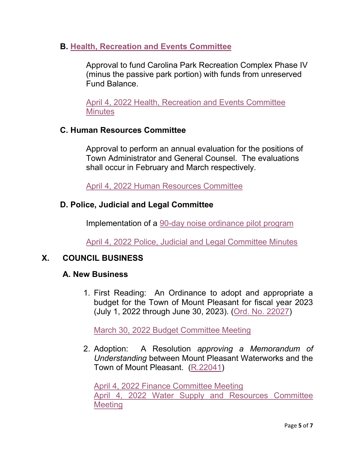**B. [Health, Recreation and Events Committee](https://www.tompsc.com/DocumentCenter/View/41263/HRE-COMMITTEE-ACTION-ITEM-04-04-22)**

Approval to fund Carolina Park Recreation Complex Phase IV (minus the passive park portion) with funds from unreserved Fund Balance.

[April 4, 2022 Health, Recreation and Events Committee](https://www.tompsc.com/AgendaCenter/ViewFile/Minutes/_04042022-1178)  **[Minutes](https://www.tompsc.com/AgendaCenter/ViewFile/Minutes/_04042022-1178)** 

### **C. Human Resources Committee**

Approval to perform an annual evaluation for the positions of Town Administrator and General Counsel. The evaluations shall occur in February and March respectively.

[April 4, 2022 Human Resources Committee](https://www.tompsc.com/AgendaCenter/ViewFile/Minutes/_04042022-1181)

## **D. Police, Judicial and Legal Committee**

Implementation of a [90-day noise ordinance pilot program](https://www.tompsc.com/DocumentCenter/View/41248/Chapter-13203-Pilot-Ordinance---April-2022-Council-Meeting)

[April 4, 2022 Police, Judicial and Legal Committee Minutes](https://www.tompsc.com/AgendaCenter/ViewFile/Minutes/_04042022-1183)

## **X. COUNCIL BUSINESS**

#### **A. New Business**

1. First Reading: An Ordinance to adopt and appropriate a budget for the Town of Mount Pleasant for fiscal year 2023 (July 1, 2022 through June 30, 2023). [\(Ord. No. 22027\)](https://www.tompsc.com/DocumentCenter/View/41253/Ord-No-22027)

[March 30, 2022 Budget Committee Meeting](https://www.tompsc.com/AgendaCenter/ViewFile/Minutes/_03302022-1172)

2. Adoption: A Resolution *approving a Memorandum of Understanding* between Mount Pleasant Waterworks and the Town of Mount Pleasant. [\(R.22041\)](https://www.tompsc.com/DocumentCenter/View/41254/Resolution-No-R22041)

[April 4, 2022 Finance Committee Meeting](https://www.tompsc.com/AgendaCenter/ViewFile/Minutes/_04042022-1179) [April 4, 2022 Water Supply and Resources Committee](https://www.tompsc.com/AgendaCenter/ViewFile/Minutes/_04042022-1192)  **[Meeting](https://www.tompsc.com/AgendaCenter/ViewFile/Minutes/_04042022-1192)**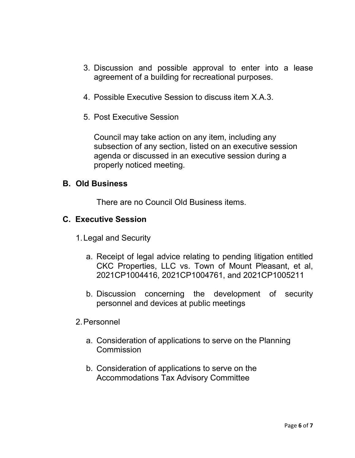- 3. Discussion and possible approval to enter into a lease agreement of a building for recreational purposes.
- 4. Possible Executive Session to discuss item X.A.3.
- 5. Post Executive Session

Council may take action on any item, including any subsection of any section, listed on an executive session agenda or discussed in an executive session during a properly noticed meeting.

#### **B. Old Business**

There are no Council Old Business items.

#### **C. Executive Session**

- 1.Legal and Security
	- a. Receipt of legal advice relating to pending litigation entitled CKC Properties, LLC vs. Town of Mount Pleasant, et al, 2021CP1004416, 2021CP1004761, and 2021CP1005211
	- b. Discussion concerning the development of security personnel and devices at public meetings
- 2.Personnel
	- a. Consideration of applications to serve on the Planning **Commission**
	- b. Consideration of applications to serve on the Accommodations Tax Advisory Committee